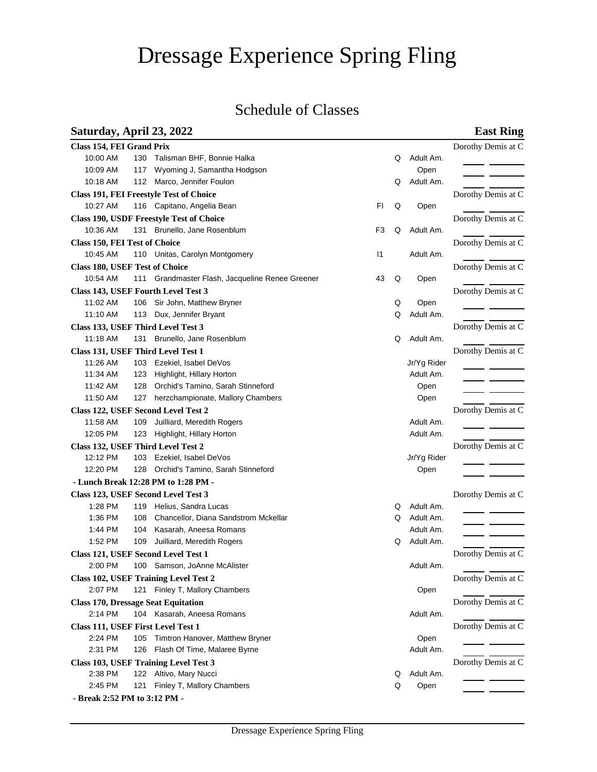# Dressage Experience Spring Fling

## Schedule of Classes

### **Saturday, April 23, 2022 East Ring**

| Class 154, FEI Grand Prix             |     |                                                 |              |   |             | Dorothy Demis at C |
|---------------------------------------|-----|-------------------------------------------------|--------------|---|-------------|--------------------|
| 10:00 AM                              | 130 | Talisman BHF, Bonnie Halka                      |              | Q | Adult Am.   |                    |
| 10:09 AM                              | 117 | Wyoming J, Samantha Hodgson                     |              |   | Open        |                    |
| 10:18 AM                              |     | 112 Marco, Jennifer Foulon                      |              | Q | Adult Am.   |                    |
|                                       |     | <b>Class 191, FEI Freestyle Test of Choice</b>  |              |   |             | Dorothy Demis at C |
| 10:27 AM                              |     | 116 Capitano, Angelia Bean                      | <b>FI</b>    | Q | Open        |                    |
|                                       |     | <b>Class 190, USDF Freestyle Test of Choice</b> |              |   |             | Dorothy Demis at C |
| 10:36 AM                              |     | 131 Brunello, Jane Rosenblum                    | F3           | Q | Adult Am.   |                    |
| Class 150, FEI Test of Choice         |     |                                                 |              |   |             | Dorothy Demis at C |
| 10:45 AM                              |     | 110 Unitas, Carolyn Montgomery                  | $\mathsf{I}$ |   | Adult Am.   |                    |
| <b>Class 180, USEF Test of Choice</b> |     |                                                 |              |   |             | Dorothy Demis at C |
| 10:54 AM                              | 111 | Grandmaster Flash, Jacqueline Renee Greener     | 43           | Q | Open        |                    |
|                                       |     | Class 143, USEF Fourth Level Test 3             |              |   |             | Dorothy Demis at C |
| 11:02 AM                              | 106 | Sir John, Matthew Bryner                        |              | Q | Open        |                    |
| 11:10 AM                              |     | 113 Dux, Jennifer Bryant                        |              | Q | Adult Am.   |                    |
|                                       |     | Class 133, USEF Third Level Test 3              |              |   |             | Dorothy Demis at C |
| 11:18 AM                              | 131 | Brunello, Jane Rosenblum                        |              | Q | Adult Am.   |                    |
|                                       |     | Class 131, USEF Third Level Test 1              |              |   |             | Dorothy Demis at C |
| 11:26 AM                              |     | 103 Ezekiel, Isabel DeVos                       |              |   | Jr/Yg Rider |                    |
| 11:34 AM                              | 123 | Highlight, Hillary Horton                       |              |   | Adult Am.   |                    |
| 11:42 AM                              | 128 | Orchid's Tamino, Sarah Stinneford               |              |   | Open        |                    |
| 11:50 AM                              | 127 | herzchampionate, Mallory Chambers               |              |   | Open        |                    |
|                                       |     | Class 122, USEF Second Level Test 2             |              |   |             | Dorothy Demis at C |
| 11:58 AM                              | 109 | Juilliard, Meredith Rogers                      |              |   | Adult Am.   |                    |
| 12:05 PM                              |     | 123 Highlight, Hillary Horton                   |              |   | Adult Am.   |                    |
|                                       |     | Class 132, USEF Third Level Test 2              |              |   |             | Dorothy Demis at C |
| 12:12 PM                              |     | 103 Ezekiel, Isabel DeVos                       |              |   | Jr/Yg Rider |                    |
| 12:20 PM                              |     | 128 Orchid's Tamino, Sarah Stinneford           |              |   | Open        |                    |
|                                       |     | - Lunch Break 12:28 PM to 1:28 PM -             |              |   |             |                    |
|                                       |     | Class 123, USEF Second Level Test 3             |              |   |             | Dorothy Demis at C |
| 1:28 PM                               | 119 | Helius, Sandra Lucas                            |              | O | Adult Am.   |                    |
| 1:36 PM                               | 108 | Chancellor, Diana Sandstrom Mckellar            |              | Q | Adult Am.   |                    |
| 1:44 PM                               | 104 | Kasarah, Aneesa Romans                          |              |   | Adult Am.   |                    |
| 1:52 PM                               | 109 | Juilliard, Meredith Rogers                      |              | Q | Adult Am.   |                    |
|                                       |     | Class 121, USEF Second Level Test 1             |              |   |             | Dorothy Demis at C |
| 2:00 PM                               |     | 100 Samson, JoAnne McAlister                    |              |   | Adult Am.   |                    |
|                                       |     | Class 102, USEF Training Level Test 2           |              |   |             | Dorothy Demis at C |
| 2:07 PM                               | 121 | Finley T, Mallory Chambers                      |              |   | Open        |                    |
|                                       |     |                                                 |              |   |             | Dorothy Demis at C |
|                                       |     | <b>Class 170, Dressage Seat Equitation</b>      |              |   |             |                    |
| 2:14 PM                               |     | 104 Kasarah, Aneesa Romans                      |              |   | Adult Am.   |                    |
| Class 111, USEF First Level Test 1    |     |                                                 |              |   |             | Dorothy Demis at C |
| 2:24 PM                               | 105 | Timtron Hanover, Matthew Bryner                 |              |   | Open        |                    |
| 2:31 PM                               | 126 | Flash Of Time, Malaree Byrne                    |              |   | Adult Am.   |                    |
|                                       |     | Class 103, USEF Training Level Test 3           |              |   |             | Dorothy Demis at C |
| 2:38 PM                               |     | 122 Altivo, Mary Nucci                          |              | Q | Adult Am.   |                    |
| 2:45 PM                               |     | 121 Finley T, Mallory Chambers                  |              | Q | Open        |                    |
| - Break 2:52 PM to 3:12 PM -          |     |                                                 |              |   |             |                    |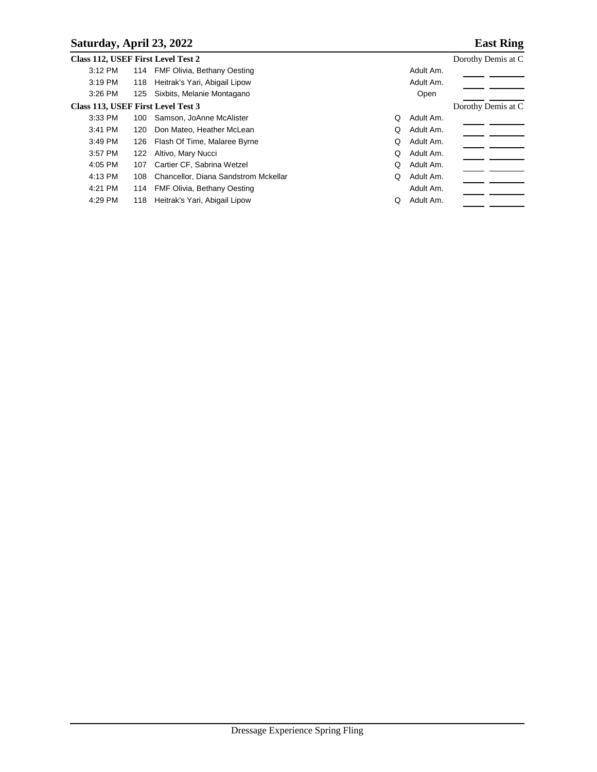### **Saturday, April 23, 2022 East Ring**

|           |     | Class 112, USEF First Level Test 2   |   | Dorothy Demis at C |  |
|-----------|-----|--------------------------------------|---|--------------------|--|
| 3:12 PM   |     | 114 FMF Olivia, Bethany Oesting      |   | Adult Am.          |  |
| 3:19 PM   |     | 118 Heitrak's Yari, Abigail Lipow    |   | Adult Am.          |  |
| $3:26$ PM |     | 125 Sixbits, Melanie Montagano       |   | Open               |  |
|           |     | Class 113, USEF First Level Test 3   |   | Dorothy Demis at C |  |
| $3:33$ PM | 100 | Samson, JoAnne McAlister             | Q | Adult Am.          |  |
| 3:41 PM   | 120 | Don Mateo, Heather McLean            | Q | Adult Am.          |  |
| $3:49$ PM |     | 126 Flash Of Time, Malaree Byrne     | Q | Adult Am.          |  |
| 3:57 PM   | 122 | Altivo, Mary Nucci                   | Q | Adult Am.          |  |
| $4:05$ PM | 107 | Cartier CF, Sabrina Wetzel           | Q | Adult Am.          |  |
| 4:13 PM   | 108 | Chancellor, Diana Sandstrom Mckellar | Q | Adult Am.          |  |
| 4:21 PM   |     | 114 FMF Olivia, Bethany Oesting      |   | Adult Am.          |  |
| 4:29 PM   | 118 | Heitrak's Yari, Abigail Lipow        | Q | Adult Am.          |  |